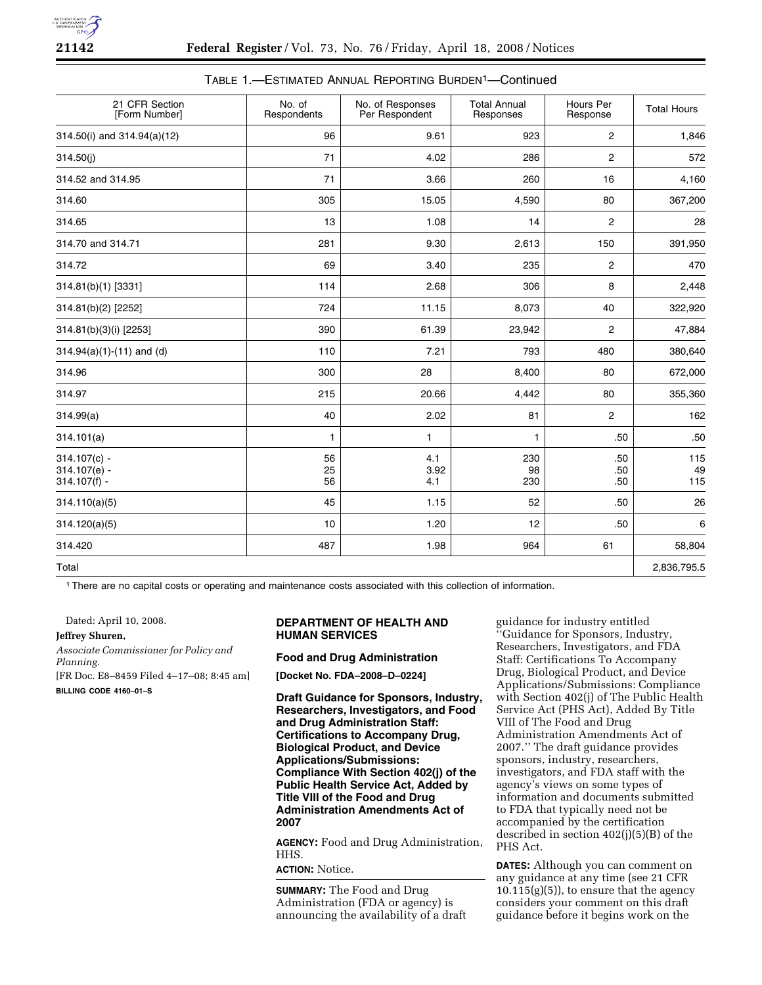| 21 CFR Section<br>[Form Number]                  | No. of<br>Respondents | No. of Responses<br>Per Respondent | <b>Total Annual</b><br>Responses | Hours Per<br>Response | <b>Total Hours</b> |
|--------------------------------------------------|-----------------------|------------------------------------|----------------------------------|-----------------------|--------------------|
| 314.50(i) and 314.94(a)(12)                      | 96                    | 9.61                               | 923                              | $\overline{2}$        | 1,846              |
| 314.50(j)                                        | 71                    | 4.02                               | 286                              | 2                     | 572                |
| 314.52 and 314.95                                | 71                    | 3.66                               | 260                              | 16                    | 4,160              |
| 314.60                                           | 305                   | 15.05                              | 4,590                            | 80                    | 367,200            |
| 314.65                                           | 13                    | 1.08                               | 14                               | $\overline{c}$        | 28                 |
| 314.70 and 314.71                                | 281                   | 9.30                               | 2,613                            | 150                   | 391,950            |
| 314.72                                           | 69                    | 3.40                               | 235                              | 2                     | 470                |
| 314.81(b)(1) [3331]                              | 114                   | 2.68                               | 306                              | 8                     | 2,448              |
| 314.81(b)(2) [2252]                              | 724                   | 11.15                              | 8,073                            | 40                    | 322,920            |
| 314.81(b)(3)(i) [2253]                           | 390                   | 61.39                              | 23,942                           | $\overline{2}$        | 47,884             |
| $314.94(a)(1)-(11)$ and (d)                      | 110                   | 7.21                               | 793                              | 480                   | 380,640            |
| 314.96                                           | 300                   | 28                                 | 8,400                            | 80                    | 672,000            |
| 314.97                                           | 215                   | 20.66                              | 4,442                            | 80                    | 355,360            |
| 314.99(a)                                        | 40                    | 2.02                               | 81                               | $\overline{c}$        | 162                |
| 314.101(a)                                       | 1                     | 1                                  | $\mathbf{1}$                     | .50                   | .50                |
| $314.107(c) -$<br>314.107(e) -<br>$314.107(f) -$ | 56<br>25<br>56        | 4.1<br>3.92<br>4.1                 | 230<br>98<br>230                 | .50<br>.50<br>.50     | 115<br>49<br>115   |
| 314.110(a)(5)                                    | 45                    | 1.15                               | 52                               | .50                   | 26                 |
| 314.120(a)(5)                                    | 10                    | 1.20                               | 12                               | .50                   | 6                  |
| 314.420                                          | 487                   | 1.98                               | 964                              | 61                    | 58,804             |
| Total                                            |                       |                                    |                                  |                       | 2,836,795.5        |

#### TABLE 1.—ESTIMATED ANNUAL REPORTING BURDEN1—Continued

1There are no capital costs or operating and maintenance costs associated with this collection of information.

Dated: April 10, 2008.

**Jeffrey Shuren,** 

## *Associate Commissioner for Policy and*

*Planning.*  [FR Doc. E8–8459 Filed 4–17–08; 8:45 am]

**BILLING CODE 4160–01–S** 

#### **DEPARTMENT OF HEALTH AND HUMAN SERVICES**

**Food and Drug Administration** 

**[Docket No. FDA–2008–D–0224]** 

**Draft Guidance for Sponsors, Industry, Researchers, Investigators, and Food and Drug Administration Staff: Certifications to Accompany Drug, Biological Product, and Device Applications/Submissions: Compliance With Section 402(j) of the Public Health Service Act, Added by Title VIII of the Food and Drug Administration Amendments Act of 2007** 

**AGENCY:** Food and Drug Administration, HHS.

**ACTION:** Notice.

**SUMMARY:** The Food and Drug Administration (FDA or agency) is announcing the availability of a draft

guidance for industry entitled ''Guidance for Sponsors, Industry, Researchers, Investigators, and FDA Staff: Certifications To Accompany Drug, Biological Product, and Device Applications/Submissions: Compliance with Section 402(j) of The Public Health Service Act (PHS Act), Added By Title VIII of The Food and Drug Administration Amendments Act of 2007.'' The draft guidance provides sponsors, industry, researchers, investigators, and FDA staff with the agency's views on some types of information and documents submitted to FDA that typically need not be accompanied by the certification described in section 402(j)(5)(B) of the PHS Act.

**DATES:** Although you can comment on any guidance at any time (see 21 CFR  $10.115(g)(5)$ , to ensure that the agency considers your comment on this draft guidance before it begins work on the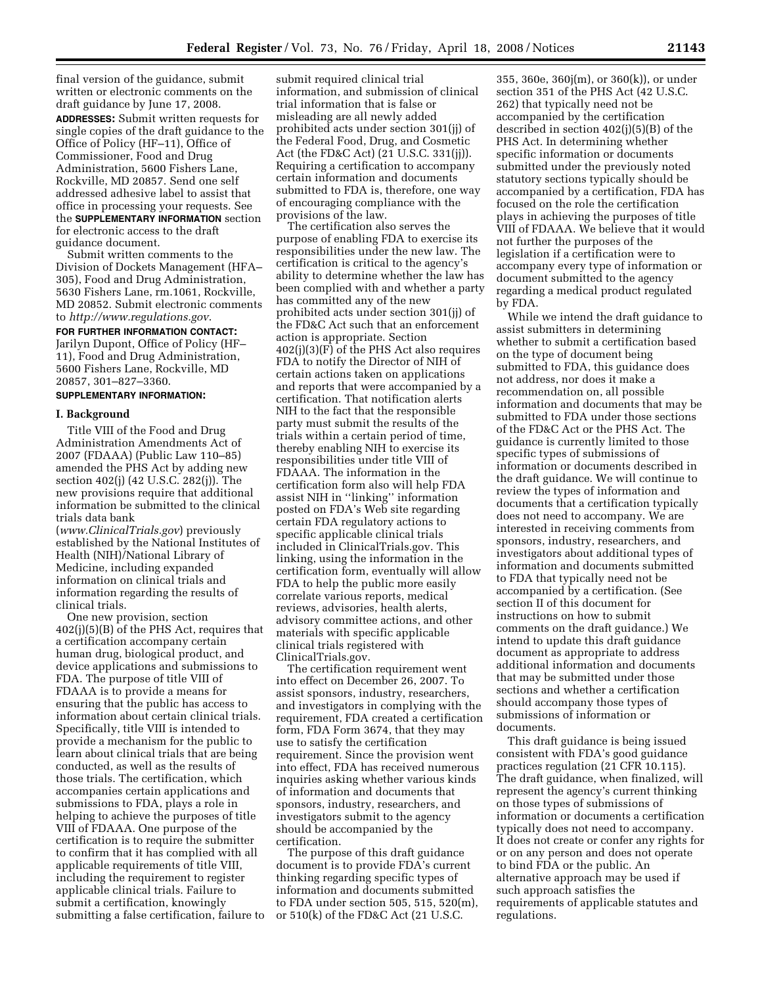final version of the guidance, submit written or electronic comments on the draft guidance by June 17, 2008. **ADDRESSES:** Submit written requests for single copies of the draft guidance to the Office of Policy (HF–11), Office of Commissioner, Food and Drug Administration, 5600 Fishers Lane, Rockville, MD 20857. Send one self addressed adhesive label to assist that office in processing your requests. See the **SUPPLEMENTARY INFORMATION** section for electronic access to the draft guidance document.

Submit written comments to the Division of Dockets Management (HFA– 305), Food and Drug Administration, 5630 Fishers Lane, rm.1061, Rockville, MD 20852. Submit electronic comments to *http://www.regulations.gov*.

# **FOR FURTHER INFORMATION CONTACT:**

Jarilyn Dupont, Office of Policy (HF– 11), Food and Drug Administration, 5600 Fishers Lane, Rockville, MD 20857, 301–827–3360.

## **SUPPLEMENTARY INFORMATION:**

#### **I. Background**

Title VIII of the Food and Drug Administration Amendments Act of 2007 (FDAAA) (Public Law 110–85) amended the PHS Act by adding new section 402(j) (42 U.S.C. 282(j)). The new provisions require that additional information be submitted to the clinical trials data bank

(*www.ClinicalTrials.gov*) previously established by the National Institutes of Health (NIH)/National Library of Medicine, including expanded information on clinical trials and information regarding the results of clinical trials.

One new provision, section 402(j)(5)(B) of the PHS Act, requires that a certification accompany certain human drug, biological product, and device applications and submissions to FDA. The purpose of title VIII of FDAAA is to provide a means for ensuring that the public has access to information about certain clinical trials. Specifically, title VIII is intended to provide a mechanism for the public to learn about clinical trials that are being conducted, as well as the results of those trials. The certification, which accompanies certain applications and submissions to FDA, plays a role in helping to achieve the purposes of title VIII of FDAAA. One purpose of the certification is to require the submitter to confirm that it has complied with all applicable requirements of title VIII, including the requirement to register applicable clinical trials. Failure to submit a certification, knowingly submitting a false certification, failure to

submit required clinical trial information, and submission of clinical trial information that is false or misleading are all newly added prohibited acts under section 301(jj) of the Federal Food, Drug, and Cosmetic Act (the FD&C Act) (21 U.S.C. 331(jj)). Requiring a certification to accompany certain information and documents submitted to FDA is, therefore, one way of encouraging compliance with the provisions of the law.

The certification also serves the purpose of enabling FDA to exercise its responsibilities under the new law. The certification is critical to the agency's ability to determine whether the law has been complied with and whether a party has committed any of the new prohibited acts under section 301(jj) of the FD&C Act such that an enforcement action is appropriate. Section 402(j)(3)(F) of the PHS Act also requires FDA to notify the Director of NIH of certain actions taken on applications and reports that were accompanied by a certification. That notification alerts NIH to the fact that the responsible party must submit the results of the trials within a certain period of time, thereby enabling NIH to exercise its responsibilities under title VIII of FDAAA. The information in the certification form also will help FDA assist NIH in ''linking'' information posted on FDA's Web site regarding certain FDA regulatory actions to specific applicable clinical trials included in ClinicalTrials.gov. This linking, using the information in the certification form, eventually will allow FDA to help the public more easily correlate various reports, medical reviews, advisories, health alerts, advisory committee actions, and other materials with specific applicable clinical trials registered with ClinicalTrials.gov.

The certification requirement went into effect on December 26, 2007. To assist sponsors, industry, researchers, and investigators in complying with the requirement, FDA created a certification form, FDA Form 3674, that they may use to satisfy the certification requirement. Since the provision went into effect, FDA has received numerous inquiries asking whether various kinds of information and documents that sponsors, industry, researchers, and investigators submit to the agency should be accompanied by the certification.

The purpose of this draft guidance document is to provide FDA's current thinking regarding specific types of information and documents submitted to FDA under section 505, 515, 520(m), or 510(k) of the FD&C Act (21 U.S.C.

355, 360e, 360j(m), or 360(k)), or under section 351 of the PHS Act (42 U.S.C. 262) that typically need not be accompanied by the certification described in section 402(j)(5)(B) of the PHS Act. In determining whether specific information or documents submitted under the previously noted statutory sections typically should be accompanied by a certification, FDA has focused on the role the certification plays in achieving the purposes of title VIII of FDAAA. We believe that it would not further the purposes of the legislation if a certification were to accompany every type of information or document submitted to the agency regarding a medical product regulated by FDA.

While we intend the draft guidance to assist submitters in determining whether to submit a certification based on the type of document being submitted to FDA, this guidance does not address, nor does it make a recommendation on, all possible information and documents that may be submitted to FDA under those sections of the FD&C Act or the PHS Act. The guidance is currently limited to those specific types of submissions of information or documents described in the draft guidance. We will continue to review the types of information and documents that a certification typically does not need to accompany. We are interested in receiving comments from sponsors, industry, researchers, and investigators about additional types of information and documents submitted to FDA that typically need not be accompanied by a certification. (See section II of this document for instructions on how to submit comments on the draft guidance.) We intend to update this draft guidance document as appropriate to address additional information and documents that may be submitted under those sections and whether a certification should accompany those types of submissions of information or documents.

This draft guidance is being issued consistent with FDA's good guidance practices regulation (21 CFR 10.115). The draft guidance, when finalized, will represent the agency's current thinking on those types of submissions of information or documents a certification typically does not need to accompany. It does not create or confer any rights for or on any person and does not operate to bind FDA or the public. An alternative approach may be used if such approach satisfies the requirements of applicable statutes and regulations.